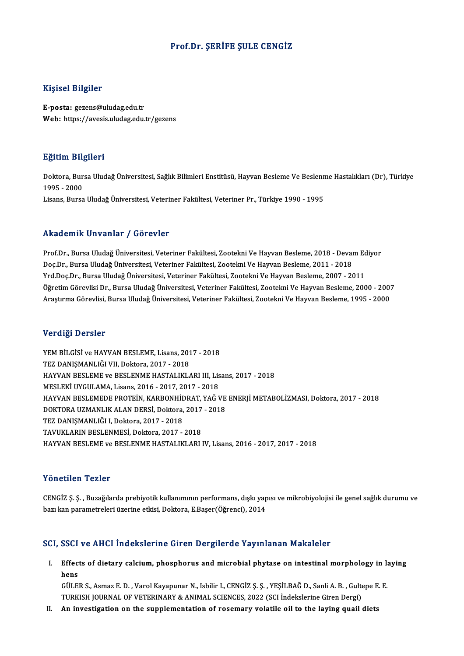## Prof.Dr. ŞERİFE ŞULE CENGİZ

## Kişisel Bilgiler

E-posta: gezens@uludag.edu.tr Web: https://avesis.uludag.edu.tr/gezens

## Eğitim Bilgileri

**Eğitim Bilgileri**<br>Doktora, Bursa Uludağ Üniversitesi, Sağlık Bilimleri Enstitüsü, Hayvan Besleme Ve Beslenme Hastalıkları (Dr), Türkiye<br>1995– 2000 1995 - 21<br>1995 - 2000<br>1995 - 2000 1995 - 2000<br>Lisans, Bursa Uludağ Üniversitesi, Veteriner Fakültesi, Veteriner Pr., Türkiye 1990 - 1995

## Akademik Unvanlar / Görevler

Prof.Dr., Bursa Uludağ Üniversitesi, Veteriner Fakültesi, Zootekni Ve Hayvan Besleme, 2018 - Devam Ediyor Doç.Dr., Bursa Uludağ Üniversitesi, Veteriner Fakültesi, Zootekni Ve Hayvan Besleme, 2011 - 2018 Yrd.Doç.Dr.,BursaUludağÜniversitesi,Veteriner Fakültesi,ZootekniVeHayvanBesleme,2007 -2011 Doç.Dr., Bursa Uludağ Üniversitesi, Veteriner Fakültesi, Zootekni Ve Hayvan Besleme, 2011 - 2018<br>Yrd.Doç.Dr., Bursa Uludağ Üniversitesi, Veteriner Fakültesi, Zootekni Ve Hayvan Besleme, 2007 - 2011<br>Öğretim Görevlisi Dr., B Yrd.Doç.Dr., Bursa Uludağ Üniversitesi, Veteriner Fakültesi, Zootekni Ve Hayvan Besleme, 2007 - 2011<br>Öğretim Görevlisi Dr., Bursa Uludağ Üniversitesi, Veteriner Fakültesi, Zootekni Ve Hayvan Besleme, 2000 - 200<br>Araştırma G Araştırma Görevlisi, Bursa Uludağ Üniversitesi, Veteriner Fakültesi, Zootekni Ve Hayvan Besleme, 1995 - 2000<br>Verdiği Dersler

Verdiği Dersler<br>YEM BİLGİSİ ve HAYVAN BESLEME, Lisans, 2017 - 2018<br>TEZ DANISMANI JÖLYU Doktora, 2017 - 2019 TEXTSI DETDET<br>TEM BİLGİSİ ve HAYVAN BESLEME, Lisans, 201<br>TEZ DANIŞMANLIĞI VII, Doktora, 2017 - 2018<br>HAYVAN BESLEME ve BESLENME HASTALIYI YEM BİLGİSİ ve HAYVAN BESLEME, Lisans, 2017 - 2018<br>TEZ DANIŞMANLIĞI VII, Doktora, 2017 - 2018<br>HAYVAN BESLEME ve BESLENME HASTALIKLARI III, Lisans, 2017 - 2018<br>MESLEVİ UVCULAMA Lisans, 2016, 2017, 2017, 2019 TEZ DANIŞMANLIĞI VII, Doktora, 2017 - 2018<br>HAYVAN BESLEME ve BESLENME HASTALIKLARI III, Lis<br>MESLEKİ UYGULAMA, Lisans, 2016 - 2017, 2017 - 2018<br>HAYVAN BESLEMEDE PROTEIN, KARRONHİDRAT, YAĞ I HAYVAN BESLEME ve BESLENME HASTALIKLARI III, Lisans, 2017 - 2018<br>MESLEKİ UYGULAMA, Lisans, 2016 - 2017, 2017 - 2018<br>HAYVAN BESLEMEDE PROTEİN, KARBONHİDRAT, YAĞ VE ENERJİ METABOLİZMASI, Doktora, 2017 - 2018<br>DOKTORA UZMANI I MESLEKİ UYGULAMA, Lisans, 2016 - 2017, 2017 - 2018<br>HAYVAN BESLEMEDE PROTEİN, KARBONHİDRAT, YAĞ VE<br>DOKTORA UZMANLIK ALAN DERSİ, Doktora, 2017 - 2018<br>TEZ DANISMANLIĞLI Doktora, 2017, -2019 TEZ DANIŞMANLIĞI I, Doktora, 2017 - 2018<br>TAVUKLARIN BESLENMESİ, Doktora, 2017 - 2018 DOKTORA UZMANLIK ALAN DERSİ, Doktora, 2017 - 2018 HAYVAN BESLEME ve BESLENME HASTALIKLARI IV, Lisans, 2016 - 2017, 2017 - 2018

## Yönetilen Tezler

Yö**netilen Tezler**<br>CENGİZ Ş. Ş. , Buzağılarda prebiyotik kullanımının performans, dışkı yapısı ve mikrobiyolojisi ile genel sağlık durumu ve<br>hav kan narametreleri ürerine etkisi, Dektera, E Beser(Öğrensi), 2014 1 on omarıcın 1 olmar<br>CENGİZ Ş. Ş. , Buzağılarda prebiyotik kullanımının performans, dışkı yap<br>bazı kan parametreleri üzerine etkisi, Doktora, E.Başer(Öğrenci), 2014

## bazı kan parametreleri üzerine etkisi, Doktora, E.Başer(Öğrenci), 2014<br>SCI, SSCI ve AHCI İndekslerine Giren Dergilerde Yayınlanan Makaleler

I. SSCI ve AHCI İndekslerine Giren Dergilerde Yayınlanan Makaleler<br>I. Effects of dietary calcium, phosphorus and microbial phytase on intestinal morphology in laying<br>hans العاقات<br>Effect<br>Citre Effects of dietary calcium, phosphorus and microbial phytase on intestinal morphology in la<br>hens<br>GÜLER S., Asmaz E. D. , Varol Kayapunar N., Isbilir I., CENGİZ Ş. Ş. , YEŞİLBAĞ D., Sanli A. B. , Gultepe E. E<br>TURKISH JOURNA

hens<br>GÜLER S., Asmaz E. D. , Varol Kayapunar N., Isbilir I., CENGİZ Ş. Ş. , YEŞİLBAĞ D., Sanli A. B. , Gultepe E. E.<br>TURKISH JOURNAL OF VETERINARY & ANIMAL SCIENCES, 2022 (SCI İndekslerine Giren Dergi)

II. An investigation on the supplementation of rosemary volatile oil to the laying quail diets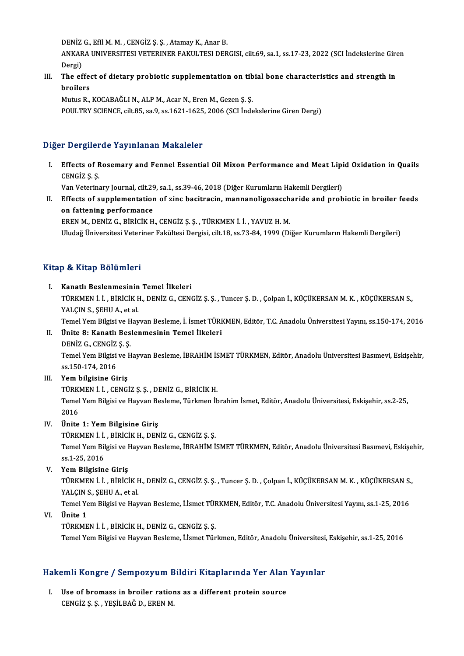DENİZ G., Efil M. M., CENGİZ Ş. Ş., Atamay K., Anar B.

DENİZ G., EfIl M. M. , CENGİZ Ş. Ş. , Atamay K., Anar B.<br>ANKARA UNIVERSITESI VETERINER FAKULTESI DERGISI, cilt.69, sa.1, ss.17-23, 2022 (SCI İndekslerine Giren DENIZ<br>ANKAR<br>Dergi)<br>The of ANKARA UNIVERSITESI VETERINER FAKULTESI DERGISI, cilt.69, sa.1, ss.17-23, 2022 (SCI İndekslerine Gire<br>Dergi)<br>III. The effect of dietary probiotic supplementation on tibial bone characteristics and strength in

Dergi)<br><mark>The effe</mark><br>broilers<br>Mutus P The effect of dietary probiotic supplementation on tib<br>broilers<br>Mutus R., KOCABAĞLI N., ALP M., Acar N., Eren M., Gezen Ş. Ş.<br>POULTPV SCIENCE silt 85, sa 9, ss 1621 1625, 2006 (SCI İnde

broilers<br>Mutus R., KOCABAĞLI N., ALP M., Acar N., Eren M., Gezen Ş. Ş.<br>POULTRY SCIENCE, cilt.85, sa.9, ss.1621-1625, 2006 (SCI İndekslerine Giren Dergi)

## Diğer Dergilerde Yayınlanan Makaleler

Iger Dergilerde Yayınlanan Makaleler<br>I. Effects of Rosemary and Fennel Essential Oil Mixon Performance and Meat Lipid Oxidation in Quails<br>CENCi7 S S r Dorgnor<br>Effects of F<br>CENGİZ Ş.Ş. Effects of Rosemary and Fennel Essential Oil Mixon Performance and Meat Lipi<br>CENGİZ Ş. Ş.<br>Van Veterinary Journal, cilt.29, sa.1, ss.39-46, 2018 (Diğer Kurumların Hakemli Dergileri)<br>Effects of sunnlamentation of sine basitr

CENGİZ Ş. Ş.<br>I . I . Yan Veterinary Journal, cilt.29, sa.1, ss.39-46, 2018 (Diğer Kurumların Hakemli Dergileri)<br>I . Effects of supplementation of zinc bacitracin, mannanoligosaccharide and probiotic in broiler feeds<br>On fat Van Veterinary Journal, cilt.29<br>Effects of supplementation<br>on fattening performance<br>EPEN M. DENiZ C. Pipiciv u on fattening performance<br>EREN M., DENİZ G., BİRİCİK H., CENGİZ Ş. Ş. , TÜRKMEN İ. İ. , YAVUZ H. M.

Uludağ Üniversitesi Veteriner Fakültesi Dergisi, cilt.18, ss.73-84, 1999 (Diğer Kurumların Hakemli Dergileri)

## Kitap & Kitap Bölümleri

I. Kanatlı Beslenmesinin Temel İlkeleri P & IIIdip Bolamici I<br>Kanatlı Beslenmesinin Temel İlkeleri<br>TÜRKMEN İ. İ. , BİRİCİK H., DENİZ G., CENGİZ Ş. Ş. , Tuncer Ş. D. , Çolpan İ., KÜÇÜKERSAN M. K. , KÜÇÜKERSAN S., Kanatlı Beslenmesinin<br>TÜRKMEN İ. İ. , BİRİCİK I<br>YALÇIN S., ŞEHU A., et al.<br>Tamal Yam Bilgisi ve Hay TÜRKMEN İ. İ. , BİRİCİK H., DENİZ G., CENGİZ Ş. Ş. , Tuncer Ş. D. , Çolpan İ., KÜÇÜKERSAN M. K. , KÜÇÜKERSAN S.,<br>YALÇIN S., ŞEHU A., et al.<br>Temel Yem Bilgisi ve Hayvan Besleme, İ. İsmet TÜRKMEN, Editör, T.C. Anadolu Üniver YALÇIN S., ŞEHU A., et al.<br>Temel Yem Bilgisi ve Hayvan Besleme, İ. İsmet TÜRKMEN, Editör, T.C. Anadolu Üniversitesi Yayını, ss.150-174, 2016<br>II. Ünite 8: Kanatlı Beslenmesinin Temel İlkeleri Temel Yem Bilgisi ve H<br>Ünite 8: Kanatlı Bes<br>DENİZ G., CENGİZ Ş. Ş.<br>Temel Yem Bilgisi ve H Temel Yem Bilgisi ve Hayvan Besleme, İBRAHİM İSMET TÜRKMEN, Editör, Anadolu Üniversitesi Basımevi, Eskişehir,<br>ss.150-174, 2016 DENİZ G., CENGİZ<br>Temel Yem Bilgisi<br>ss.150-174, 2016<br>Yem bilgisine Gi III. Yem bilgisine Giriş ss.150-174, 2016<br>Yem bilgisine Giriş<br>TÜRKMEN İ. İ. , CENGİZ Ş. Ş. , DENİZ G., BİRİCİK H.<br>Tamel Yem Bilgisi ve Havyan Besleme Türlmen İb Temel Yem Bilgisi ve Hayvan Besleme, Türkmen İbrahim İsmet, Editör, Anadolu Üniversitesi, Eskişehir, ss.2-25,<br>2016 TÜRK<br>Temel<br>2016<br>Ünite IV. Ünite 1: Yem Bilgisine Giriş TÜRKMEN İ. İ. , BİRİCİK H., DENİZ G., CENGİZ Ş. Ş. Ünite 1: Yem Bilgisine Giriş<br>TÜRKMEN İ. İ. , BİRİCİK H., DENİZ G., CENGİZ Ş. Ş.<br>Temel Yem Bilgisi ve Hayvan Besleme, İBRAHİM İSMET TÜRKMEN, Editör, Anadolu Üniversitesi Basımevi, Eskişehir, TÜRKMEN İ. İ.<br>Temel Yem Bil<br>ss.1-25, 2016<br>Yem Bilsisin ss.1-25, 2016<br>V. Yem Bilgisine Giriş ss.1-25, 2016<br>Yem Bilgisine Giriş<br>TÜRKMEN İ. İ. , BİRİCİK H., DENİZ G., CENGİZ Ş. Ş. , Tuncer Ş. D. , Çolpan İ., KÜÇÜKERSAN M. K. , KÜÇÜKERSAN S.,<br>XALCIN S. SEHILA, et al Yem Bilgisine Giriş<br>TÜRKMEN İ. İ. , BİRİCİK I<br>YALÇIN S., ŞEHU A., et al.<br>Tamal Yam Bilgisi ve Hay TÜRKMEN İ. İ. , BİRİCİK H., DENİZ G., CENGİZ Ş. Ş. , Tuncer Ş. D. , Çolpan İ., KÜÇÜKERSAN M. K. , KÜÇÜKERSAN S.<br>YALÇIN S., ŞEHU A., et al.<br>Temel Yem Bilgisi ve Hayvan Besleme, İ.İsmet TÜRKMEN, Editör, T.C. Anadolu Üniversi YALÇIN S., ŞEHU A., et al.<br>Temel Yem Bilgisi ve Hayvan Besleme, İ.İsmet TÜF<br>VI. Ünite 1<br>TÜRKMEN İ. İ. , BİRİCİK H., DENİZ G., CENGİZ S. S. Temel Yem Bilgisi ve Hayvan Besleme, İ.İsmet TÜRKMEN, Editör, T.C. Anadolu Üniversitesi Yayını, ss.1-25, 2016 Temel Yem Bilgisi ve Hayvan Besleme, İ.İsmet Türkmen, Editör, Anadolu Üniversitesi, Eskişehir, ss.1-25, 2016

# iemei rem biigisi ve Hayvan Besieme, i.ismet Turkmen, Editor, Anadolu Universitesi,<br>Hakemli Kongre / Sempozyum Bildiri Kitaplarında Yer Alan Yayınlar

akemli Kongre / Sempozyum Bildiri Kitaplarında Yer Alan<br>I. Use of bromass in broiler rations as a different protein source<br>CENCİZ S.S., YESİLBAĞ D. EREN M I. Use of bromass in broiler rations as a different protein source<br>CENGİZ S.S., YESİLBAĞ D., EREN M.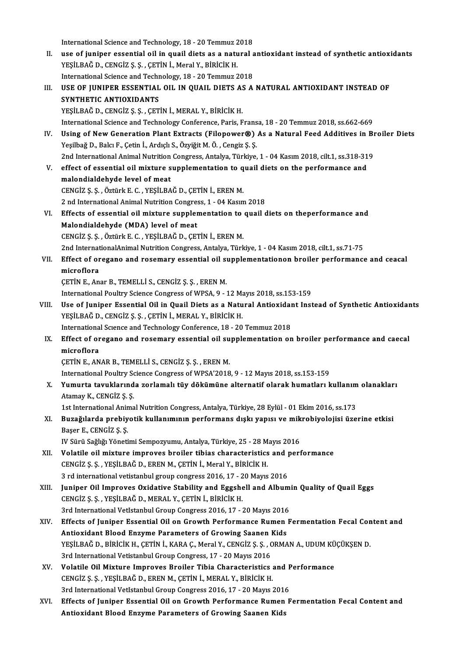International Science and Technology, 18 - 20 Temmuz 2018<br>Nee of iuniner essential eil in queil diete as a natural s International Science and Technology, 18 - 20 Temmuz 2018<br>II. use of juniper essential oil in quail diets as a natural antioxidant instead of synthetic antioxidants<br>vESU BAČ D. CENCIZ S. S. CETIN I. Marel V. Biniciv H International Science and Technology, 18 - 20 Temmuz 2<br>use of juniper essential oil in quail diets as a natu<br>YEŞİLBAĞ D., CENGİZ Ş. Ş. , ÇETİN İ., Meral Y., BİRİCİK H.<br>International Science and Technology, 19 - 20 Temmuz 2 use of juniper essential oil in quail diets as a natural and<br>YEŞİLBAĞ D., CENGİZ Ş. Ş. , ÇETİN İ., Meral Y., BİRİCİK H.<br>International Science and Technology, 18 - 20 Temmuz 2018<br>USE OF UINIPER ESSENTIAL OU IN QUAU DIETS AS YEŞİLBAĞ D., CENGİZ Ş. Ş. , ÇETİN İ., Meral Y., BİRİCİK H.<br>International Science and Technology, 18 - 20 Temmuz 2018<br>III. USE OF JUNIPER ESSENTIAL OIL IN QUAIL DIETS AS A NATURAL ANTIOXIDANT INSTEAD OF<br>SYNTHETIC ANTIOXIDAN International Science and Technology, 18 - 20 Temmuz 2018 YEŞİLBAĞ D., CENGİZ Ş. Ş. , ÇETİN İ., MERAL Y., BİRİCİK H. International Science and Technology Conference, Paris, Fransa, 18 - 20 Temmuz 2018, ss.662-669 YEŞİLBAĞ D., CENGİZ Ş. Ş. , ÇETİN İ., MERAL Y., BİRİCİK H.<br>International Science and Technology Conference, Paris, Fransa, 18 - 20 Temmuz 2018, ss.662-669<br>IV. Using of New Generation Plant Extracts (Filopower®) As a Natura Yeşilbağ D., Balcı F., Çetin İ., Ardıçlı S., Özyiğit M. Ö., Cengiz Ş. Ş. Using of New Generation Plant Extracts (Filopower®) As a Natural Feed Additives in Br<br>Yeşilbağ D., Balcı F., Çetin İ., Ardıçlı S., Özyiğit M. Ö. , Cengiz Ş. Ş.<br>2nd International Animal Nutrition Congress, Antalya, Türkiye, V. effect of essential oil mixture supplementation to quail diets on the performance and malondialdehyde level of meat 2nd International Animal Nutrition Congress, Antalya, Türkiye, 1 - 04 Kasım 2018, cilt.1, ss.318-319 CENGİZ Ş.Ş. ,ÖztürkE.C. ,YEŞİLBAĞD.,ÇETİNİ.,ERENM. malondialdehyde level of meat<br>CENGİZ Ş. Ş. , Öztürk E. C. , YEŞİLBAĞ D., ÇETİN İ., EREN M.<br>2 nd International Animal Nutrition Congress, 1 - 04 Kasım 2018<br>Effecta of escential oil miyture sunnlamentation te susil d CENGİZ Ş. Ş. , Öztürk E. C. , YEŞİLBAĞ D., ÇETİN İ., EREN M.<br>2 nd International Animal Nutrition Congress, 1 - 04 Kasım 2018<br>VI. Effects of essential oil mixture supplementation to quail diets on theperformance and<br>Malandi 2 nd International Animal Nutrition Congres<br>Effects of essential oil mixture supplem<br>Malondialdehyde (MDA) level of meat<br>CENCIZS S. ÖTTINE F.C. VESU PAČ D. CET Effects of essential oil mixture supplementation to<br>Malondialdehyde (MDA) level of meat<br>CENGİZ Ş. Ş. , Öztürk E. C. , YEŞİLBAĞ D., ÇETİN İ., EREN M.<br>2nd InternationalAnimal Nutritian Congress Antalya Türk Malondialdehyde (MDA) level of meat<br>2nd InternationalAnimal Nutrition Congress, Antalya, Türkiye, 1 - 04 Kasım 2018, cilt.1, ss.71-75<br>2nd InternationalAnimal Nutrition Congress, Antalya, Türkiye, 1 - 04 Kasım 2018, cilt.1, CENGİZ Ş. Ş. , Öztürk E. C. , YEŞİLBAĞ D., ÇETİN İ., EREN M.<br>2nd InternationalAnimal Nutrition Congress, Antalya, Türkiye, 1 - 04 Kasım 2018, cilt.1, ss.71-75<br>VII. Effect of oregano and rosemary essential oil supplemen 2nd Internat<br>Effect of or<br>microflora<br>CETIN E An Effect of oregano and rosemary essential oil sumicroflora<br>microflora<br>ÇETİN E., Anar B., TEMELLİ S., CENGİZ Ş. Ş. , EREN M.<br>International Boultry Science Congress of WBSA A. microflora<br>ÇETİN E., Anar B., TEMELLİ S., CENGİZ Ş. Ş. , EREN M.<br>International Poultry Science Congress of WPSA, 9 - 12 Mayıs 2018, ss.153-159<br>Hee of Juniper Essential Oil in Queil Diets es a Natural Antioxident Inst CETIN E., Anar B., TEMELLI S., CENGIZ Ş. Ş. , EREN M.<br>International Poultry Science Congress of WPSA, 9 - 12 Mayıs 2018, ss.153-159<br>VIII. Use of Juniper Essential Oil in Quail Diets as a Natural Antioxidant Instead of Synt International Poultry Science Congress of WPSA, 9 - 12 Ma<br>Use of Juniper Essential Oil in Quail Diets as a Natu<br>YEŞİLBAĞ D., CENGİZ Ş.Ş., ÇETİN İ., MERAL Y., BİRİCİK H.<br>International Science and Technology Conference 19 - Use of Juniper Essential Oil in Quail Diets as a Natural Antioxidal<br>YEŞİLBAĞ D., CENGİZ Ş. Ş. , ÇETİN İ., MERAL Y., BİRİCİK H.<br>International Science and Technology Conference, 18 - 20 Temmuz 2018<br>Effect of orogano and Fose YEŞİLBAĞ D., CENGİZ Ş. Ş. , ÇETİN İ., MERAL Y., BİRİCİK H.<br>International Science and Technology Conference, 18 - 20 Temmuz 2018<br>IX. Effect of oregano and rosemary essential oil supplementation on broiler performance and ca Internationa<br>Effect of or<br>microflora<br>CETIN E AN Effect of oregano and rosemary essential oil su<br>microflora<br>ÇETİN E., ANAR B., TEMELLİ S., CENGİZ Ş. Ş. , EREN M.<br>International Boultry Science Congress of WBSA'2019 microflora<br>ÇETİN E., ANAR B., TEMELLİ S., CENGİZ Ş. Ş. , EREN M.<br>International Poultry Science Congress of WPSA'2018, 9 - 12 Mayıs 2018, ss.153-159<br>Yumurta tavuklarında garlamalı tüv dökümüne altarnatif alarak bumatları k CETIN E., ANAR B., TEMELLI S., CENGIZ Ş. Ş. , EREN M.<br>International Poultry Science Congress of WPSA'2018, 9 - 12 Mayıs 2018, ss.153-159<br>X. Yumurta tavuklarında zorlamalı tüy dökümüne alternatif olarak humatları kullan International Poultry So<br>**Yumurta tavuklarınd**<br>Atamay K., CENGİZ Ş. Ş.<br>1st International Anima Yumurta tavuklarında zorlamalı tüy dökümüne alternatif olarak humatları kullanım<br>Atamay K., CENGİZ Ş. Ş.<br>1st International Animal Nutrition Congress, Antalya, Türkiye, 28 Eylül - 01 Ekim 2016, ss.173<br>Bugağılarda probiyetik Atamay K., CENGİZ Ş. Ş.<br>1st International Animal Nutrition Congress, Antalya, Türkiye, 28 Eylül - 01 Ekim 2016, ss.173<br>2000: Basar E. CENGİZ S. S 1st International Animal Nutrition Congress, Antalya, Türkiye, 28 Eylül - 01 Ekim 2016, ss.173<br>Buzağılarda prebiyotik kullanımının performans dışkı yapısı ve mikrobiyolojisi üze<br>Başer E., CENGİZ Ş. Ş.<br>IV Sürü Sağlığı Yönet Buzağılarda prebiyotik kullanımının performans dışkı yapısı ve mik<br>Başer E., CENGİZ Ş. Ş.<br>IV Sürü Sağlığı Yönetimi Sempozyumu, Antalya, Türkiye, 25 - 28 Mayıs 2016<br>Velatile oil miytune imnneyes breiler tibise shanesteristi XII. Volatile oil mixture improves broiler tibias characteristics and performance IV Sürü Sağlığı Yönetimi Sempozyumu, Antalya, Türkiye, 25 - 28 M<br>Volatile oil mixture improves broiler tibias characteristics<br>CENGİZ Ş. Ş. , YEŞİLBAĞ D., EREN M., ÇETİN İ., Meral Y., BİRİCİK H.<br>2 rd international yetistepb Volatile oil mixture improves broiler tibias characteristics and **J**<br>CENGİZ Ş. Ş. , YEŞİLBAĞ D., EREN M., ÇETİN İ., Meral Y., BİRİCİK H.<br>3 rd international vetistanbul group congress 2016, 17 - 20 Mayıs 2016<br>Juniper Qil Im 3 rd international vetistanbul group congress 2016, 17 - 20 Mayıs 2016<br>XIII. Juniper Oil Improves Oxidative Stability and Eggshell and Albumin Quality of Quail Eggs CENGİZ Ş.Ş. ,YEŞİLBAĞD.,MERAL Y.,ÇETİNİ.,BİRİCİKH. Juniper Oil Improves Oxidative Stability and Eggshell and Album<br>CENGİZ Ş. Ş. , YEŞİLBAĞ D., MERAL Y., ÇETİN İ., BİRİCİK H.<br>3rd International VetIstanbul Group Congress 2016, 17 - 20 Mayıs 2016<br>Effects of Juniper Essential CENGİZ Ş. Ş. , YEŞİLBAĞ D., MERAL Y., ÇETİN İ., BİRİCİK H.<br>3rd International VetIstanbul Group Congress 2016, 17 - 20 Mayıs 2016<br>XIV. Effects of Juniper Essential Oil on Growth Performance Rumen Fermentation Fecal Cont 3rd International VetIstanbul Group Congress 2016, 17 - 20 Mayıs 2016<br>Effects of Juniper Essential Oil on Growth Performance Rumen<br>Antioxidant Blood Enzyme Parameters of Growing Saanen Kids<br>VESU BAČ D. Pipiciv H. CETIN I, Effects of Juniper Essential Oil on Growth Performance Rumen Fermentation Fecal Con<br>Antioxidant Blood Enzyme Parameters of Growing Saanen Kids<br>YEŞİLBAĞ D., BİRİCİK H., ÇETİN İ., KARA Ç., Meral Y., CENGİZ Ş. Ş. , ORMAN A., Antioxidant Blood Enzyme Parameters of Growing Saanen Kids<br>YEŞİLBAĞ D., BİRİCİK H., ÇETİN İ., KARA Ç., Meral Y., CENGİZ Ş. Ş. , ORMAN A., UDUM KÜÇÜKŞEN D.<br>3rd International Vetistanbul Group Congress, 17 - 20 Mayıs 2016 YEŞİLBAĞ D., BİRİCİK H., ÇETİN İ., KARA Ç., Meral Y., CENGİZ Ş. Ş. , ORMAN A., UDUM KÜ<br>3rd International Vetistanbul Group Congress, 17 - 20 Mayıs 2016<br>XV. Volatile Oil Mixture Improves Broiler Tibia Characteristics an 3rd International Vetistanbul Group Congress, 17 - 20 Mayıs 2016<br>Volatile Oil Mixture Improves Broiler Tibia Characteristics<br>CENGİZ Ş. Ş., YEŞİLBAĞ D., EREN M., ÇETİN İ., MERAL Y., BİRİCİK H.<br>2rd International Vetletanbul Volatile Oil Mixture Improves Broiler Tibia Characteristics and F<br>CENGİZ Ş. Ş. , YEŞİLBAĞ D., EREN M., ÇETİN İ., MERAL Y., BİRİCİK H.<br>3rd International VetIstanbul Group Congress 2016, 17 - 20 Mayıs 2016<br>Effecta of Juniper CENGİZ Ş. Ş. , YEŞİLBAĞ D., EREN M., ÇETİN İ., MERAL Y., BİRİCİK H.<br>3rd International VetIstanbul Group Congress 2016, 17 - 20 Mayıs 2016<br>XVI. Effects of Juniper Essential Oil on Growth Performance Rumen Fermentation Fecal 3rd International VetIstanbul Group Congress 2016, 17 - 20 Mayıs 2016<br>Effects of Juniper Essential Oil on Growth Performance Rumen<br>Antioxidant Blood Enzyme Parameters of Growing Saanen Kids